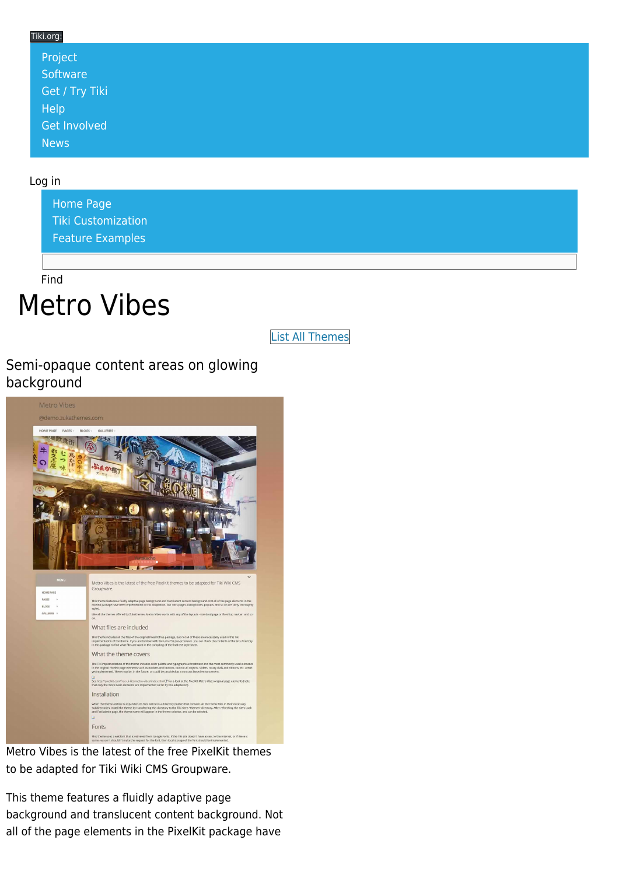#### Tiki.org: [Project](https://tiki.org/Project Introduction) **[Software](https://tiki.org/Software Overview and Model)** [Get / Try Tiki](https://tiki.org/Get Tiki - Try Tiki) [Help](https://tiki.org/Get Help) [Get Involved](https://tiki.org/Get Involved) [News](https://tiki.org/News)

#### Log in

[Home Page](https://themes.tiki.org/Themes) [Tiki Customization](https://themes.tiki.org/Tiki-Customization) [Feature Examples](#page--1-0)

Find

# Metro Vibes

[List All Themes](https://themes.tiki.org/marketplace%20themes)

#### Semi-opaque content areas on glowing background



Metro Vibes is the latest of the free PixelKit themes to be adapted for Tiki Wiki CMS Groupware.

This theme features a fluidly adaptive page background and translucent content background. Not all of the page elements in the PixelKit package have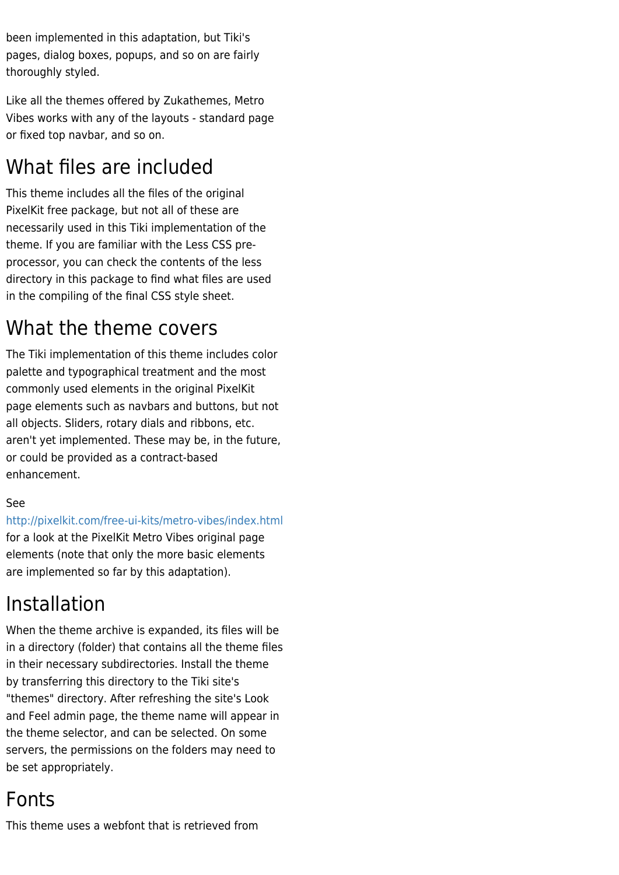been implemented in this adaptation, but Tiki's pages, dialog boxes, popups, and so on are fairly thoroughly styled.

Like all the themes offered by Zukathemes, Metro Vibes works with any of the layouts - standard page or fixed top navbar, and so on.

# What files are included

This theme includes all the files of the original PixelKit free package, but not all of these are necessarily used in this Tiki implementation of the theme. If you are familiar with the Less CSS preprocessor, you can check the contents of the less directory in this package to find what files are used in the compiling of the final CSS style sheet.

### What the theme covers

The Tiki implementation of this theme includes color palette and typographical treatment and the most commonly used elements in the original PixelKit page elements such as navbars and buttons, but not all objects. Sliders, rotary dials and ribbons, etc. aren't yet implemented. These may be, in the future, or could be provided as a contract-based enhancement.

#### See

<http://pixelkit.com/free-ui-kits/metro-vibes/index.html> for a look at the PixelKit Metro Vibes original page elements (note that only the more basic elements are implemented so far by this adaptation).

### Installation

When the theme archive is expanded, its files will be in a directory (folder) that contains all the theme files in their necessary subdirectories. Install the theme by transferring this directory to the Tiki site's "themes" directory. After refreshing the site's Look and Feel admin page, the theme name will appear in the theme selector, and can be selected. On some servers, the permissions on the folders may need to be set appropriately.

### Fonts

This theme uses a webfont that is retrieved from